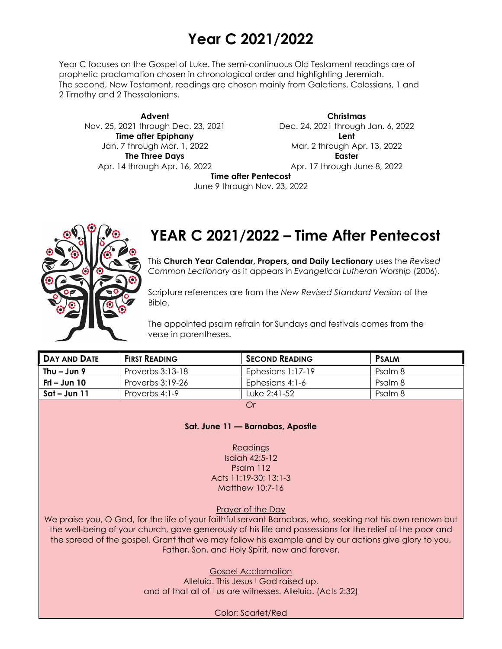# **Year C 2021/2022**

Year C focuses on the Gospel of Luke. The semi-continuous Old Testament readings are of prophetic proclamation chosen in chronological order and highlighting Jeremiah. The second, New Testament, readings are chosen mainly from Galatians, Colossians, 1 and 2 Timothy and 2 Thessalonians.

**Advent** Nov. 25, 2021 through Dec. 23, 2021 **Time after Epiphany** Jan. 7 through Mar. 1, 2022 **The Three Days** Apr. 14 through Apr. 16, 2022

**Christmas** Dec. 24, 2021 through Jan. 6, 2022 **Lent** Mar. 2 through Apr. 13, 2022 **Easter** Apr. 17 through June 8, 2022

**Time after Pentecost**

June 9 through Nov. 23, 2022



## **YEAR C 2021/2022 – Time After Pentecost**

This **Church Year Calendar, Propers, and Daily Lectionary** uses the *Revised Common Lectionary* as it appears in *Evangelical Lutheran Worship* (2006).

Scripture references are from the *New Revised Standard Version* of the Bible.

The appointed psalm refrain for Sundays and festivals comes from the verse in parentheses.

| II DAY AND DATE | <b>FIRST READING</b> | <b>SECOND READING</b> | <b>PSALM</b> |
|-----------------|----------------------|-----------------------|--------------|
| Thu $-$ Jun 9   | Proverbs 3:13-18     | Ephesians 1:17-19     | Psalm 8      |
| Fri – Jun $10$  | Proverbs 3:19-26     | Ephesians 4:1-6       | Psalm 8      |
| $Sat - Jun 11$  | Proverbs 4:1-9       | Tuke $2:41-52$        | Psalm 8      |
|                 |                      |                       |              |

#### **Sat. June 11 — Barnabas, Apostle**

Readings

Isaiah 42:5-12 Psalm 112 Acts 11:19-30; 13:1-3 Matthew 10:7-16

Prayer of the Day

We praise you, O God, for the life of your faithful servant Barnabas, who, seeking not his own renown but the well-being of your church, gave generously of his life and possessions for the relief of the poor and the spread of the gospel. Grant that we may follow his example and by our actions give glory to you, Father, Son, and Holy Spirit, now and forever.

Gospel Acclamation

Alleluia. This Jesus | God raised up, and of that all of I us are witnesses. Alleluia. (Acts 2:32)

Color: Scarlet/Red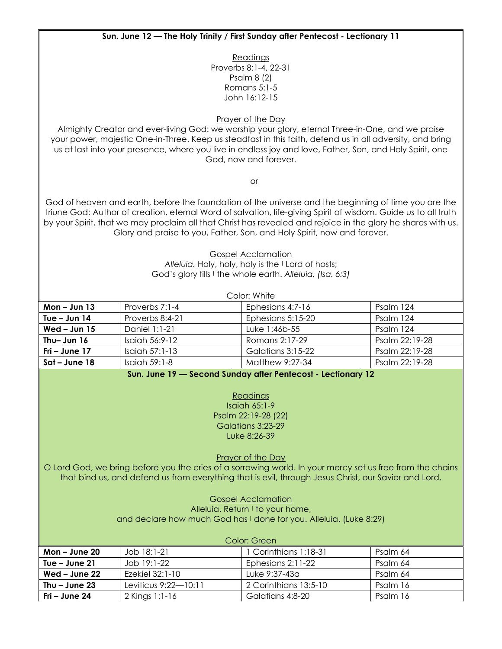#### **Sun. June 12 — The Holy Trinity / First Sunday after Pentecost - Lectionary 11**

**Readings** Proverbs 8:1-4, 22-31 Psalm 8 (2) Romans 5:1-5 John 16:12-15

Prayer of the Day

Almighty Creator and ever-living God: we worship your glory, eternal Three-in-One, and we praise your power, majestic One-in-Three. Keep us steadfast in this faith, defend us in all adversity, and bring us at last into your presence, where you live in endless joy and love, Father, Son, and Holy Spirit, one God, now and forever.

or

God of heaven and earth, before the foundation of the universe and the beginning of time you are the triune God: Author of creation, eternal Word of salvation, life-giving Spirit of wisdom. Guide us to all truth by your Spirit, that we may proclaim all that Christ has revealed and rejoice in the glory he shares with us. Glory and praise to you, Father, Son, and Holy Spirit, now and forever.

> Gospel Acclamation *Alleluia.* Holy, holy, holy is the <sup>|</sup> Lord of hosts; God's glory fills <sup>|</sup> the whole earth. *Alleluia. (Isa. 6:3)*

| Color: White    |                  |                   |                |  |
|-----------------|------------------|-------------------|----------------|--|
| $Mon - Jun 13$  | Proverbs 7:1-4   | Ephesians 4:7-16  | Psalm 124      |  |
| Tue $-$ Jun 14  | Proverbs 8:4-21  | Ephesians 5:15-20 | Psalm 124      |  |
| Wed $-$ Jun 15  | Daniel 1:1-21    | Luke 1:46b-55     | Psalm 124      |  |
| Thu-Jun 16      | Isaiah 56:9-12   | Romans 2:17-29    | Psalm 22:19-28 |  |
| Fri – June $17$ | Isaiah $57:1-13$ | Galatians 3:15-22 | Psalm 22:19-28 |  |
| $Sat$ – June 18 | Isaiah $59:1-8$  | Matthew 9:27-34   | Psalm 22:19-28 |  |

**Sun. June 19 — Second Sunday after Pentecost - Lectionary 12**

Readings Isaiah 65:1-9 Psalm 22:19-28 (22) Galatians 3:23-29 Luke 8:26-39

Prayer of the Day

O Lord God, we bring before you the cries of a sorrowing world. In your mercy set us free from the chains that bind us, and defend us from everything that is evil, through Jesus Christ, our Savior and Lord.

### Gospel Acclamation

Alleluia. Return I to your home, and declare how much God has I done for you. Alleluia. (Luke 8:29)

| Color: Green    |                      |                       |          |  |
|-----------------|----------------------|-----------------------|----------|--|
| Mon $-$ June 20 | Job 18:1-21          | 1 Corinthians 1:18-31 | Psalm 64 |  |
| Tue $-$ June 21 | Job 19:1-22          | Ephesians 2:11-22     | Psalm 64 |  |
| Wed – June $22$ | Ezekiel 32:1-10      | Luke 9:37-43a         | Psalm 64 |  |
| Thu $-$ June 23 | Leviticus 9:22—10:11 | 2 Corinthians 13:5-10 | Psalm 16 |  |
| Fri – June 24   | 2 Kings 1:1-16       | Galatians 4:8-20      | Psalm 16 |  |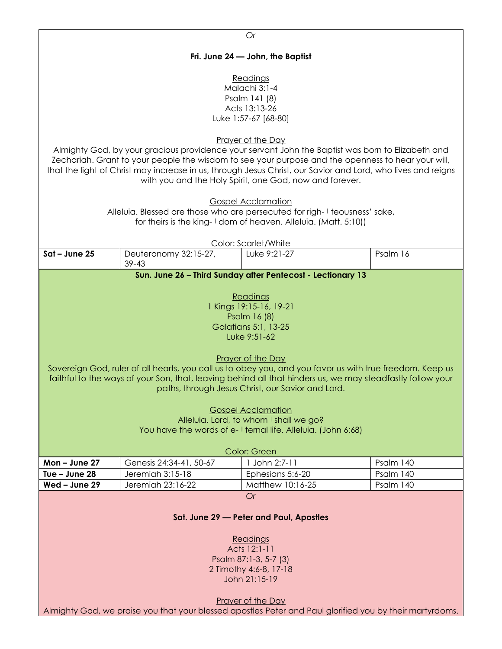| Or                                                                                                                                                                                                                                                                                                                                                                                                                                                                                             |                         |                                                                                                                                                                                                          |           |  |
|------------------------------------------------------------------------------------------------------------------------------------------------------------------------------------------------------------------------------------------------------------------------------------------------------------------------------------------------------------------------------------------------------------------------------------------------------------------------------------------------|-------------------------|----------------------------------------------------------------------------------------------------------------------------------------------------------------------------------------------------------|-----------|--|
| Fri. June 24 - John, the Baptist                                                                                                                                                                                                                                                                                                                                                                                                                                                               |                         |                                                                                                                                                                                                          |           |  |
| Readings<br>Malachi 3:1-4<br>Psalm 141 (8)<br>Acts 13:13-26<br>Luke 1:57-67 [68-80]<br>Prayer of the Day<br>Almighty God, by your gracious providence your servant John the Baptist was born to Elizabeth and<br>Zechariah. Grant to your people the wisdom to see your purpose and the openness to hear your will,<br>that the light of Christ may increase in us, through Jesus Christ, our Savior and Lord, who lives and reigns<br>with you and the Holy Spirit, one God, now and forever. |                         |                                                                                                                                                                                                          |           |  |
|                                                                                                                                                                                                                                                                                                                                                                                                                                                                                                |                         | <b>Gospel Acclamation</b><br>Alleluia. Blessed are those who are persecuted for righ-I teousness' sake,<br>for theirs is the king-1 dom of heaven. Alleluia. (Matt. 5:10))                               |           |  |
|                                                                                                                                                                                                                                                                                                                                                                                                                                                                                                |                         | Color: Scarlet/White                                                                                                                                                                                     |           |  |
| Sat - June 25                                                                                                                                                                                                                                                                                                                                                                                                                                                                                  | Deuteronomy 32:15-27,   | Luke 9:21-27                                                                                                                                                                                             | Psalm 16  |  |
|                                                                                                                                                                                                                                                                                                                                                                                                                                                                                                | $39 - 43$               | Sun. June 26 - Third Sunday after Pentecost - Lectionary 13                                                                                                                                              |           |  |
|                                                                                                                                                                                                                                                                                                                                                                                                                                                                                                |                         |                                                                                                                                                                                                          |           |  |
| Readings<br>1 Kings 19:15-16, 19-21<br>Psalm 16 (8)<br>Galatians 5:1, 13-25<br>Luke 9:51-62<br>Prayer of the Day<br>Sovereign God, ruler of all hearts, you call us to obey you, and you favor us with true freedom. Keep us<br>faithful to the ways of your Son, that, leaving behind all that hinders us, we may steadfastly follow your<br>paths, through Jesus Christ, our Savior and Lord.<br><b>Gospel Acclamation</b><br>Alleluia. Lord, to whom I shall we go?                         |                         |                                                                                                                                                                                                          |           |  |
|                                                                                                                                                                                                                                                                                                                                                                                                                                                                                                |                         | You have the words of e- I ternal life. Alleluia. (John 6:68)                                                                                                                                            |           |  |
|                                                                                                                                                                                                                                                                                                                                                                                                                                                                                                |                         | Color: Green                                                                                                                                                                                             |           |  |
| Mon-June 27                                                                                                                                                                                                                                                                                                                                                                                                                                                                                    | Genesis 24:34-41, 50-67 | 1 John 2:7-11                                                                                                                                                                                            | Psalm 140 |  |
| Tue - June 28                                                                                                                                                                                                                                                                                                                                                                                                                                                                                  | Jeremiah 3:15-18        | Ephesians 5:6-20                                                                                                                                                                                         | Psalm 140 |  |
| Wed - June 29                                                                                                                                                                                                                                                                                                                                                                                                                                                                                  | Jeremiah 23:16-22       | Matthew 10:16-25                                                                                                                                                                                         | Psalm 140 |  |
| <b>Or</b><br>Sat. June 29 - Peter and Paul, Apostles<br>Readings<br>Acts 12:1-11                                                                                                                                                                                                                                                                                                                                                                                                               |                         |                                                                                                                                                                                                          |           |  |
|                                                                                                                                                                                                                                                                                                                                                                                                                                                                                                |                         | Psalm 87:1-3, 5-7 (3)<br>2 Timothy 4:6-8, 17-18<br>John 21:15-19<br><b>Prayer of the Day</b><br>Almighty God, we praise you that your blessed apostles Peter and Paul glorified you by their martyrdoms. |           |  |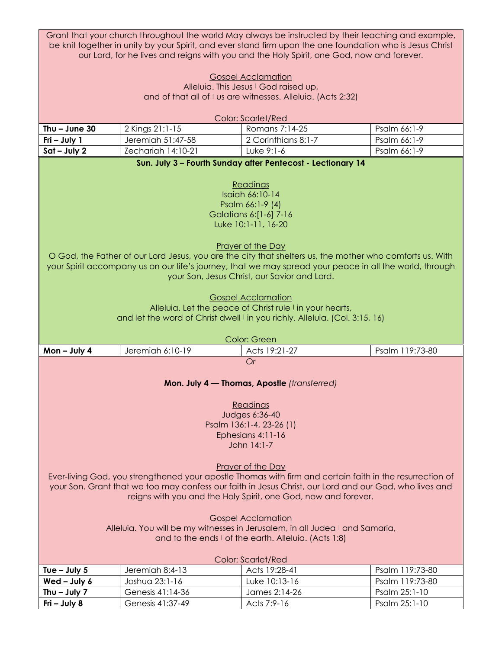|                                                                                           | Grant that your church throughout the world May always be instructed by their teaching and example,<br>be knit together in unity by your Spirit, and ever stand firm upon the one foundation who is Jesus Christ |                                                                                                          |                                |  |  |
|-------------------------------------------------------------------------------------------|------------------------------------------------------------------------------------------------------------------------------------------------------------------------------------------------------------------|----------------------------------------------------------------------------------------------------------|--------------------------------|--|--|
| our Lord, for he lives and reigns with you and the Holy Spirit, one God, now and forever. |                                                                                                                                                                                                                  |                                                                                                          |                                |  |  |
|                                                                                           |                                                                                                                                                                                                                  |                                                                                                          |                                |  |  |
|                                                                                           |                                                                                                                                                                                                                  | <b>Gospel Acclamation</b><br>Alleluia. This Jesus I God raised up,                                       |                                |  |  |
|                                                                                           |                                                                                                                                                                                                                  | and of that all of I us are witnesses. Alleluia. (Acts 2:32)                                             |                                |  |  |
|                                                                                           |                                                                                                                                                                                                                  |                                                                                                          |                                |  |  |
|                                                                                           |                                                                                                                                                                                                                  | <b>Color: Scarlet/Red</b>                                                                                |                                |  |  |
| Thu $-$ June 30                                                                           | 2 Kings 21:1-15                                                                                                                                                                                                  | Romans 7:14-25                                                                                           | Psalm 66:1-9                   |  |  |
| Fri - July 1                                                                              | Jeremiah 51:47-58                                                                                                                                                                                                | 2 Corinthians 8:1-7                                                                                      | Psalm 66:1-9                   |  |  |
| $Sat - July 2$                                                                            | Zechariah 14:10-21                                                                                                                                                                                               | Luke 9:1-6                                                                                               | Psalm 66:1-9                   |  |  |
|                                                                                           |                                                                                                                                                                                                                  | Sun. July 3 - Fourth Sunday after Pentecost - Lectionary 14                                              |                                |  |  |
|                                                                                           |                                                                                                                                                                                                                  |                                                                                                          |                                |  |  |
|                                                                                           |                                                                                                                                                                                                                  | Readings                                                                                                 |                                |  |  |
|                                                                                           |                                                                                                                                                                                                                  | Isaiah 66:10-14                                                                                          |                                |  |  |
|                                                                                           |                                                                                                                                                                                                                  | Psalm 66:1-9 (4)<br>Galatians 6:[1-6] 7-16                                                               |                                |  |  |
|                                                                                           |                                                                                                                                                                                                                  | Luke 10:1-11, 16-20                                                                                      |                                |  |  |
|                                                                                           |                                                                                                                                                                                                                  |                                                                                                          |                                |  |  |
|                                                                                           |                                                                                                                                                                                                                  | Prayer of the Day                                                                                        |                                |  |  |
|                                                                                           |                                                                                                                                                                                                                  | O God, the Father of our Lord Jesus, you are the city that shelters us, the mother who comforts us. With |                                |  |  |
|                                                                                           |                                                                                                                                                                                                                  | your Spirit accompany us on our life's journey, that we may spread your peace in all the world, through  |                                |  |  |
|                                                                                           |                                                                                                                                                                                                                  | your Son, Jesus Christ, our Savior and Lord.                                                             |                                |  |  |
|                                                                                           |                                                                                                                                                                                                                  |                                                                                                          |                                |  |  |
|                                                                                           |                                                                                                                                                                                                                  | <b>Gospel Acclamation</b>                                                                                |                                |  |  |
|                                                                                           |                                                                                                                                                                                                                  | Alleluia. Let the peace of Christ rule I in your hearts,                                                 |                                |  |  |
|                                                                                           |                                                                                                                                                                                                                  | and let the word of Christ dwell I in you richly. Alleluia. (Col. 3:15, 16)                              |                                |  |  |
|                                                                                           |                                                                                                                                                                                                                  |                                                                                                          |                                |  |  |
|                                                                                           |                                                                                                                                                                                                                  |                                                                                                          |                                |  |  |
|                                                                                           |                                                                                                                                                                                                                  | Color: Green                                                                                             |                                |  |  |
| Mon-July 4                                                                                | Jeremiah 6:10-19                                                                                                                                                                                                 | Acts 19:21-27                                                                                            | Psalm 119:73-80                |  |  |
|                                                                                           |                                                                                                                                                                                                                  | <b>Or</b>                                                                                                |                                |  |  |
|                                                                                           |                                                                                                                                                                                                                  |                                                                                                          |                                |  |  |
|                                                                                           |                                                                                                                                                                                                                  | Mon. July 4 - Thomas, Apostle (transferred)                                                              |                                |  |  |
|                                                                                           |                                                                                                                                                                                                                  |                                                                                                          |                                |  |  |
|                                                                                           |                                                                                                                                                                                                                  | Readings                                                                                                 |                                |  |  |
|                                                                                           |                                                                                                                                                                                                                  | Judges 6:36-40                                                                                           |                                |  |  |
|                                                                                           |                                                                                                                                                                                                                  | Psalm 136:1-4, 23-26 (1)                                                                                 |                                |  |  |
|                                                                                           |                                                                                                                                                                                                                  | Ephesians 4:11-16<br>John 14:1-7                                                                         |                                |  |  |
|                                                                                           |                                                                                                                                                                                                                  |                                                                                                          |                                |  |  |
|                                                                                           |                                                                                                                                                                                                                  | Prayer of the Day                                                                                        |                                |  |  |
|                                                                                           |                                                                                                                                                                                                                  | Ever-living God, you strengthened your apostle Thomas with firm and certain faith in the resurrection of |                                |  |  |
|                                                                                           |                                                                                                                                                                                                                  | your Son. Grant that we too may confess our faith in Jesus Christ, our Lord and our God, who lives and   |                                |  |  |
|                                                                                           |                                                                                                                                                                                                                  | reigns with you and the Holy Spirit, one God, now and forever.                                           |                                |  |  |
|                                                                                           |                                                                                                                                                                                                                  |                                                                                                          |                                |  |  |
|                                                                                           |                                                                                                                                                                                                                  | <b>Gospel Acclamation</b>                                                                                |                                |  |  |
|                                                                                           |                                                                                                                                                                                                                  | Alleluia. You will be my witnesses in Jerusalem, in all Judea I and Samaria,                             |                                |  |  |
|                                                                                           |                                                                                                                                                                                                                  | and to the ends I of the earth. Alleluia. (Acts 1:8)                                                     |                                |  |  |
|                                                                                           |                                                                                                                                                                                                                  |                                                                                                          |                                |  |  |
|                                                                                           |                                                                                                                                                                                                                  | Color: Scarlet/Red                                                                                       |                                |  |  |
| Tue $-$ July 5                                                                            | Jeremiah 8:4-13                                                                                                                                                                                                  | Acts 19:28-41                                                                                            | Psalm 119:73-80                |  |  |
| Wed - July 6                                                                              | Joshua 23:1-16                                                                                                                                                                                                   | Luke 10:13-16                                                                                            | Psalm 119:73-80                |  |  |
| Thu $-$ July 7<br>Fri - July 8                                                            | Genesis 41:14-36<br>Genesis 41:37-49                                                                                                                                                                             | James 2:14-26<br>Acts 7:9-16                                                                             | Psalm 25:1-10<br>Psalm 25:1-10 |  |  |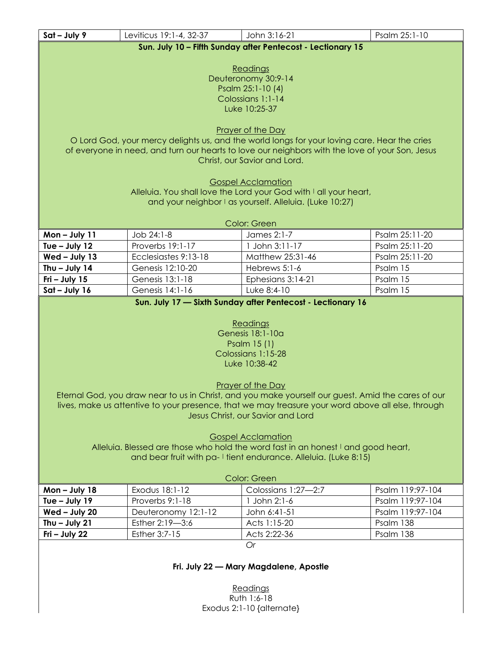| Sat - July 9                                                | Leviticus 19:1-4, 32-37                | John 3:16-21                                                                                       | Psalm 25:1-10                        |  |
|-------------------------------------------------------------|----------------------------------------|----------------------------------------------------------------------------------------------------|--------------------------------------|--|
| Sun. July 10 - Fifth Sunday after Pentecost - Lectionary 15 |                                        |                                                                                                    |                                      |  |
|                                                             |                                        |                                                                                                    |                                      |  |
|                                                             |                                        | Readings                                                                                           |                                      |  |
|                                                             |                                        | Deuteronomy 30:9-14                                                                                |                                      |  |
|                                                             |                                        | Psalm 25:1-10 (4)                                                                                  |                                      |  |
|                                                             |                                        | Colossians 1:1-14                                                                                  |                                      |  |
|                                                             |                                        | Luke 10:25-37                                                                                      |                                      |  |
|                                                             |                                        | Prayer of the Day                                                                                  |                                      |  |
|                                                             |                                        | O Lord God, your mercy delights us, and the world longs for your loving care. Hear the cries       |                                      |  |
|                                                             |                                        | of everyone in need, and turn our hearts to love our neighbors with the love of your Son, Jesus    |                                      |  |
|                                                             |                                        | Christ, our Savior and Lord.                                                                       |                                      |  |
|                                                             |                                        |                                                                                                    |                                      |  |
|                                                             |                                        | <b>Gospel Acclamation</b>                                                                          |                                      |  |
|                                                             |                                        | Alleluia. You shall love the Lord your God with I all your heart,                                  |                                      |  |
|                                                             |                                        | and your neighbor I as yourself. Alleluia. (Luke 10:27)                                            |                                      |  |
|                                                             |                                        |                                                                                                    |                                      |  |
|                                                             |                                        | Color: Green<br>James 2:1-7                                                                        |                                      |  |
| Mon-July 11<br>Tue - July 12                                | Job 24:1-8<br>Proverbs 19:1-17         | 1 John 3:11-17                                                                                     | Psalm 25:11-20<br>Psalm 25:11-20     |  |
|                                                             | Ecclesiastes 9:13-18                   | Matthew 25:31-46                                                                                   | Psalm 25:11-20                       |  |
| Wed - July 13                                               |                                        |                                                                                                    |                                      |  |
| Thu $-$ July 14                                             | Genesis 12:10-20                       | Hebrews 5:1-6                                                                                      | Psalm 15                             |  |
| Fri $-$ July 15                                             | Genesis 13:1-18                        | Ephesians 3:14-21                                                                                  | Psalm 15                             |  |
| $Sat - July 16$                                             | Genesis 14:1-16                        | Luke 8:4-10                                                                                        | Psalm 15                             |  |
|                                                             |                                        | Sun. July 17 - Sixth Sunday after Pentecost - Lectionary 16                                        |                                      |  |
|                                                             |                                        |                                                                                                    |                                      |  |
|                                                             |                                        | Readings<br>Genesis 18:1-10a                                                                       |                                      |  |
|                                                             |                                        | Psalm 15 (1)                                                                                       |                                      |  |
|                                                             |                                        | Colossians 1:15-28                                                                                 |                                      |  |
|                                                             |                                        | Luke 10:38-42                                                                                      |                                      |  |
|                                                             |                                        |                                                                                                    |                                      |  |
|                                                             |                                        | <b>Prayer of the Day</b>                                                                           |                                      |  |
|                                                             |                                        | Eternal God, you draw near to us in Christ, and you make yourself our guest. Amid the cares of our |                                      |  |
|                                                             |                                        | lives, make us attentive to your presence, that we may treasure your word above all else, through  |                                      |  |
|                                                             |                                        | Jesus Christ, our Savior and Lord                                                                  |                                      |  |
|                                                             |                                        |                                                                                                    |                                      |  |
|                                                             |                                        | <b>Gospel Acclamation</b>                                                                          |                                      |  |
|                                                             |                                        | Alleluia. Blessed are those who hold the word fast in an honest I and good heart,                  |                                      |  |
|                                                             |                                        | and bear fruit with pa-I tient endurance. Alleluia. (Luke 8:15)                                    |                                      |  |
|                                                             |                                        |                                                                                                    |                                      |  |
|                                                             |                                        | Color: Green                                                                                       |                                      |  |
| Mon $-$ July 18                                             | Exodus 18:1-12<br>Proverbs 9:1-18      | Colossians 1:27-2:7                                                                                | Psalm 119:97-104<br>Psalm 119:97-104 |  |
| Tue - July 19                                               |                                        | 1 John 2:1-6                                                                                       |                                      |  |
| Wed - July 20                                               | Deuteronomy 12:1-12<br>Esther 2:19-3:6 | John 6:41-51<br>Acts 1:15-20                                                                       | Psalm 119:97-104                     |  |
| Thu $-$ July 21<br>Fri - July 22                            | Esther 3:7-15                          | Acts 2:22-36                                                                                       | Psalm 138<br>Psalm 138               |  |
|                                                             |                                        | Or                                                                                                 |                                      |  |
|                                                             |                                        |                                                                                                    |                                      |  |
|                                                             |                                        | Fri. July 22 - Mary Magdalene, Apostle                                                             |                                      |  |
|                                                             |                                        |                                                                                                    |                                      |  |
|                                                             |                                        | Readings                                                                                           |                                      |  |
|                                                             |                                        |                                                                                                    |                                      |  |

Ruth 1:6-18 Exodus 2:1-10 {alternate}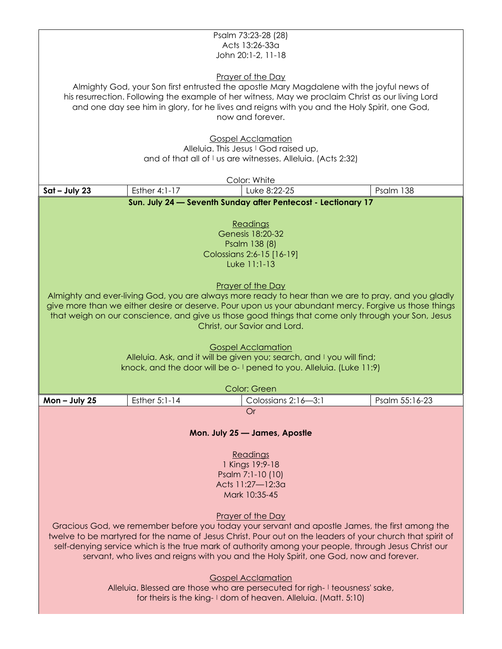|                                                                                                    |               | Psalm 73:23-28 (28)                                                                                       |                |  |  |  |
|----------------------------------------------------------------------------------------------------|---------------|-----------------------------------------------------------------------------------------------------------|----------------|--|--|--|
| Acts 13:26-33a                                                                                     |               |                                                                                                           |                |  |  |  |
| John 20:1-2, 11-18                                                                                 |               |                                                                                                           |                |  |  |  |
|                                                                                                    |               | <b>Prayer of the Day</b>                                                                                  |                |  |  |  |
|                                                                                                    |               | Almighty God, your Son first entrusted the apostle Mary Magdalene with the joyful news of                 |                |  |  |  |
|                                                                                                    |               | his resurrection. Following the example of her witness, May we proclaim Christ as our living Lord         |                |  |  |  |
|                                                                                                    |               | and one day see him in glory, for he lives and reigns with you and the Holy Spirit, one God,              |                |  |  |  |
|                                                                                                    |               | now and forever.                                                                                          |                |  |  |  |
|                                                                                                    |               |                                                                                                           |                |  |  |  |
|                                                                                                    |               | <b>Gospel Acclamation</b>                                                                                 |                |  |  |  |
|                                                                                                    |               | Alleluia. This Jesus I God raised up,                                                                     |                |  |  |  |
|                                                                                                    |               | and of that all of I us are witnesses. Alleluia. (Acts 2:32)                                              |                |  |  |  |
|                                                                                                    |               |                                                                                                           |                |  |  |  |
| $Sat - July 23$                                                                                    | Esther 4:1-17 | Color: White<br>Luke 8:22-25                                                                              | Psalm 138      |  |  |  |
|                                                                                                    |               | Sun. July 24 - Seventh Sunday after Pentecost - Lectionary 17                                             |                |  |  |  |
|                                                                                                    |               |                                                                                                           |                |  |  |  |
|                                                                                                    |               | Readings                                                                                                  |                |  |  |  |
|                                                                                                    |               | Genesis 18:20-32                                                                                          |                |  |  |  |
|                                                                                                    |               | Psalm 138 (8)                                                                                             |                |  |  |  |
|                                                                                                    |               | Colossians 2:6-15 [16-19]                                                                                 |                |  |  |  |
|                                                                                                    |               | Luke 11:1-13                                                                                              |                |  |  |  |
|                                                                                                    |               |                                                                                                           |                |  |  |  |
|                                                                                                    |               | Prayer of the Day                                                                                         |                |  |  |  |
|                                                                                                    |               | Almighty and ever-living God, you are always more ready to hear than we are to pray, and you gladly       |                |  |  |  |
|                                                                                                    |               |                                                                                                           |                |  |  |  |
|                                                                                                    |               | give more than we either desire or deserve. Pour upon us your abundant mercy. Forgive us those things     |                |  |  |  |
| that weigh on our conscience, and give us those good things that come only through your Son, Jesus |               |                                                                                                           |                |  |  |  |
|                                                                                                    |               | Christ, our Savior and Lord.                                                                              |                |  |  |  |
|                                                                                                    |               |                                                                                                           |                |  |  |  |
|                                                                                                    |               | <b>Gospel Acclamation</b>                                                                                 |                |  |  |  |
|                                                                                                    |               | Alleluia. Ask, and it will be given you; search, and I you will find;                                     |                |  |  |  |
|                                                                                                    |               | knock, and the door will be o-1 pened to you. Alleluia. (Luke 11:9)                                       |                |  |  |  |
|                                                                                                    |               |                                                                                                           |                |  |  |  |
|                                                                                                    |               | Color: Green                                                                                              |                |  |  |  |
| Mon-July 25                                                                                        | Esther 5:1-14 | Colossians 2:16-3:1<br>Or                                                                                 | Psalm 55:16-23 |  |  |  |
|                                                                                                    |               |                                                                                                           |                |  |  |  |
|                                                                                                    |               |                                                                                                           |                |  |  |  |
|                                                                                                    |               | Mon. July 25 - James, Apostle                                                                             |                |  |  |  |
|                                                                                                    |               |                                                                                                           |                |  |  |  |
|                                                                                                    |               | Readings                                                                                                  |                |  |  |  |
|                                                                                                    |               | 1 Kings 19:9-18                                                                                           |                |  |  |  |
|                                                                                                    |               | Psalm 7:1-10 (10)                                                                                         |                |  |  |  |
|                                                                                                    |               | Acts 11:27-12:3a<br>Mark 10:35-45                                                                         |                |  |  |  |
|                                                                                                    |               |                                                                                                           |                |  |  |  |
|                                                                                                    |               | Prayer of the Day                                                                                         |                |  |  |  |
|                                                                                                    |               | Gracious God, we remember before you today your servant and apostle James, the first among the            |                |  |  |  |
|                                                                                                    |               | twelve to be martyred for the name of Jesus Christ. Pour out on the leaders of your church that spirit of |                |  |  |  |
|                                                                                                    |               | self-denying service which is the true mark of authority among your people, through Jesus Christ our      |                |  |  |  |
|                                                                                                    |               | servant, who lives and reigns with you and the Holy Spirit, one God, now and forever.                     |                |  |  |  |
|                                                                                                    |               |                                                                                                           |                |  |  |  |
|                                                                                                    |               | <b>Gospel Acclamation</b>                                                                                 |                |  |  |  |
|                                                                                                    |               | Alleluia. Blessed are those who are persecuted for righ-I teousness' sake,                                |                |  |  |  |
|                                                                                                    |               | for theirs is the king-1 dom of heaven. Alleluia. (Matt. 5:10)                                            |                |  |  |  |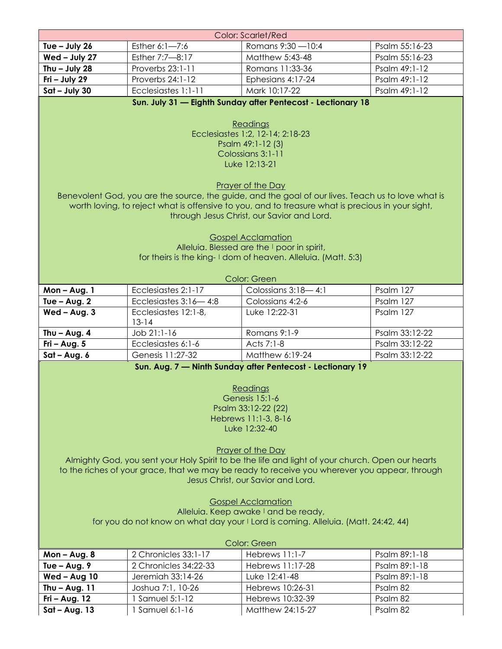| <b>Color: Scarlet/Red</b>                                                                                                                                                                                                                                                                                                                                                                                                                                                                                                                                                                           |                                      |                                                                                                              |                |  |
|-----------------------------------------------------------------------------------------------------------------------------------------------------------------------------------------------------------------------------------------------------------------------------------------------------------------------------------------------------------------------------------------------------------------------------------------------------------------------------------------------------------------------------------------------------------------------------------------------------|--------------------------------------|--------------------------------------------------------------------------------------------------------------|----------------|--|
| Tue $-$ July 26                                                                                                                                                                                                                                                                                                                                                                                                                                                                                                                                                                                     | Esther 6:1-7:6                       | Romans 9:30 - 10:4                                                                                           | Psalm 55:16-23 |  |
| Wed - July 27                                                                                                                                                                                                                                                                                                                                                                                                                                                                                                                                                                                       | Esther 7:7-8:17                      | Matthew 5:43-48                                                                                              | Psalm 55:16-23 |  |
| Thu $-$ July 28                                                                                                                                                                                                                                                                                                                                                                                                                                                                                                                                                                                     | Proverbs 23:1-11                     | Romans 11:33-36                                                                                              | Psalm 49:1-12  |  |
| Fri - July 29                                                                                                                                                                                                                                                                                                                                                                                                                                                                                                                                                                                       | Proverbs 24:1-12                     | Ephesians 4:17-24                                                                                            | Psalm 49:1-12  |  |
| $Sat - July 30$                                                                                                                                                                                                                                                                                                                                                                                                                                                                                                                                                                                     | Ecclesiastes 1:1-11                  | Mark 10:17-22                                                                                                | Psalm 49:1-12  |  |
| Sun. July 31 - Eighth Sunday after Pentecost - Lectionary 18<br>Readings<br>Ecclesiastes 1:2, 12-14; 2:18-23<br>Psalm 49:1-12 (3)<br>Colossians 3:1-11<br>Luke 12:13-21<br>Prayer of the Day<br>Benevolent God, you are the source, the guide, and the goal of our lives. Teach us to love what is<br>worth loving, to reject what is offensive to you, and to treasure what is precious in your sight,<br>through Jesus Christ, our Savior and Lord.<br><b>Gospel Acclamation</b>                                                                                                                  |                                      |                                                                                                              |                |  |
|                                                                                                                                                                                                                                                                                                                                                                                                                                                                                                                                                                                                     |                                      | Alleluia. Blessed are the I poor in spirit,<br>for theirs is the king-1 dom of heaven. Alleluia. (Matt. 5:3) |                |  |
|                                                                                                                                                                                                                                                                                                                                                                                                                                                                                                                                                                                                     |                                      | Color: Green                                                                                                 |                |  |
| Mon-Aug. 1                                                                                                                                                                                                                                                                                                                                                                                                                                                                                                                                                                                          | Ecclesiastes 2:1-17                  | Colossians 3:18-4:1                                                                                          | Psalm 127      |  |
| Tue $-$ Aug. 2                                                                                                                                                                                                                                                                                                                                                                                                                                                                                                                                                                                      | Ecclesiastes $3:16-4:8$              | Colossians 4:2-6                                                                                             | Psalm 127      |  |
| $Wed - Aug. 3$                                                                                                                                                                                                                                                                                                                                                                                                                                                                                                                                                                                      | Ecclesiastes 12:1-8,                 | Luke 12:22-31                                                                                                | Psalm 127      |  |
|                                                                                                                                                                                                                                                                                                                                                                                                                                                                                                                                                                                                     | $13 - 14$                            |                                                                                                              |                |  |
| Thu $-$ Aug. 4                                                                                                                                                                                                                                                                                                                                                                                                                                                                                                                                                                                      | Job 21:1-16                          | Romans 9:1-9                                                                                                 | Psalm 33:12-22 |  |
| Fri - Aug. $5$                                                                                                                                                                                                                                                                                                                                                                                                                                                                                                                                                                                      | Ecclesiastes 6:1-6                   | Acts 7:1-8                                                                                                   | Psalm 33:12-22 |  |
| $Sat - Aug. 6$                                                                                                                                                                                                                                                                                                                                                                                                                                                                                                                                                                                      | Genesis 11:27-32                     | Matthew 6:19-24                                                                                              | Psalm 33:12-22 |  |
| Sun. Aug. 7 - Ninth Sunday after Pentecost - Lectionary 19<br>Readings<br>Genesis 15:1-6<br>Psalm 33:12-22 (22)<br>Hebrews 11:1-3, 8-16<br>Luke 12:32-40<br>Prayer of the Day<br>Almighty God, you sent your Holy Spirit to be the life and light of your church. Open our hearts<br>to the riches of your grace, that we may be ready to receive you wherever you appear, through<br>Jesus Christ, our Savior and Lord.<br><b>Gospel Acclamation</b><br>Alleluia. Keep awake I and be ready,<br>for you do not know on what day your I Lord is coming. Alleluia. (Matt. 24:42, 44)<br>Color: Green |                                      |                                                                                                              |                |  |
| $Mon - Aug. 8$                                                                                                                                                                                                                                                                                                                                                                                                                                                                                                                                                                                      | 2 Chronicles 33:1-17                 | Hebrews 11:1-7                                                                                               | Psalm 89:1-18  |  |
| Tue $-$ Aug. 9                                                                                                                                                                                                                                                                                                                                                                                                                                                                                                                                                                                      | 2 Chronicles 34:22-33                | Hebrews 11:17-28                                                                                             | Psalm 89:1-18  |  |
| Wed - Aug 10                                                                                                                                                                                                                                                                                                                                                                                                                                                                                                                                                                                        | Jeremiah 33:14-26                    | Luke 12:41-48                                                                                                | Psalm 89:1-18  |  |
| Thu $-$ Aug. 11                                                                                                                                                                                                                                                                                                                                                                                                                                                                                                                                                                                     | Joshua 7:1, 10-26<br>1 Samuel 5:1-12 | Hebrews 10:26-31                                                                                             | Psalm 82       |  |
| Fri – Aug. $12$                                                                                                                                                                                                                                                                                                                                                                                                                                                                                                                                                                                     |                                      | Hebrews 10:32-39                                                                                             | Psalm 82       |  |
| $Sat - Aug. 13$                                                                                                                                                                                                                                                                                                                                                                                                                                                                                                                                                                                     | 1 Samuel 6:1-16                      | Matthew 24:15-27                                                                                             | Psalm 82       |  |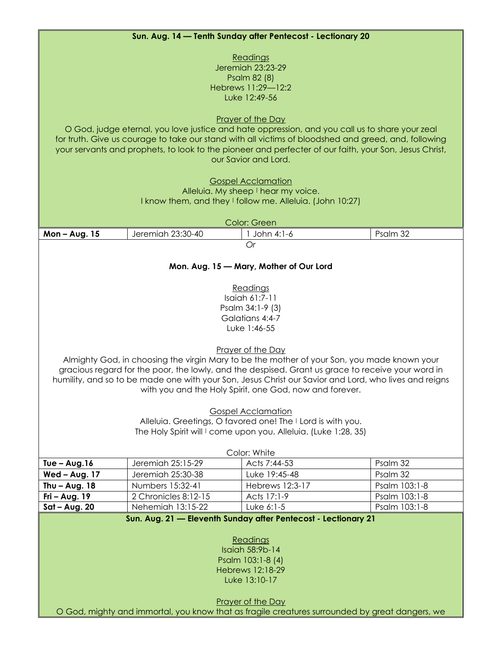| Sun. Aug. 14 - Tenth Sunday after Pentecost - Lectionary 20                                                                                                                                                                                                                                                                                                                                                                                                                                                                                                                                                                                                                                    |                      |                 |               |  |
|------------------------------------------------------------------------------------------------------------------------------------------------------------------------------------------------------------------------------------------------------------------------------------------------------------------------------------------------------------------------------------------------------------------------------------------------------------------------------------------------------------------------------------------------------------------------------------------------------------------------------------------------------------------------------------------------|----------------------|-----------------|---------------|--|
| Readings<br>Jeremiah 23:23-29<br>Psalm 82 (8)<br>Hebrews 11:29-12:2<br>Luke 12:49-56<br>Prayer of the Day<br>O God, judge eternal, you love justice and hate oppression, and you call us to share your zeal<br>for truth. Give us courage to take our stand with all victims of bloodshed and greed, and, following<br>your servants and prophets, to look to the pioneer and perfecter of our faith, your Son, Jesus Christ,<br>our Savior and Lord.<br><b>Gospel Acclamation</b><br>Alleluia. My sheep I hear my voice.<br>I know them, and they I follow me. Alleluia. (John 10:27)                                                                                                         |                      |                 |               |  |
|                                                                                                                                                                                                                                                                                                                                                                                                                                                                                                                                                                                                                                                                                                |                      | Color: Green    |               |  |
| Mon-Aug. 15                                                                                                                                                                                                                                                                                                                                                                                                                                                                                                                                                                                                                                                                                    | Jeremiah 23:30-40    | 1 John 4:1-6    | Psalm 32      |  |
| Or<br>Mon. Aug. 15 - Mary, Mother of Our Lord<br>Readings<br>Isaiah 61:7-11<br>Psalm 34:1-9 (3)<br>Galatians 4:4-7<br>Luke 1:46-55<br>Prayer of the Day<br>Almighty God, in choosing the virgin Mary to be the mother of your Son, you made known your<br>gracious regard for the poor, the lowly, and the despised. Grant us grace to receive your word in<br>humility, and so to be made one with your Son, Jesus Christ our Savior and Lord, who lives and reigns<br>with you and the Holy Spirit, one God, now and forever.<br><b>Gospel Acclamation</b><br>Alleluia. Greetings, O favored one! The I Lord is with you.<br>The Holy Spirit will I come upon you. Alleluia. (Luke 1:28, 35) |                      |                 |               |  |
| Tue $-$ Aug. 16                                                                                                                                                                                                                                                                                                                                                                                                                                                                                                                                                                                                                                                                                | Jeremiah 25:15-29    | Acts 7:44-53    | Psalm 32      |  |
| Wed - Aug. 17                                                                                                                                                                                                                                                                                                                                                                                                                                                                                                                                                                                                                                                                                  | Jeremiah 25:30-38    | Luke 19:45-48   | Psalm 32      |  |
| Thu $-$ Aug. 18                                                                                                                                                                                                                                                                                                                                                                                                                                                                                                                                                                                                                                                                                | Numbers 15:32-41     | Hebrews 12:3-17 | Psalm 103:1-8 |  |
| $Fri - Aug. 19$                                                                                                                                                                                                                                                                                                                                                                                                                                                                                                                                                                                                                                                                                | 2 Chronicles 8:12-15 | Acts 17:1-9     | Psalm 103:1-8 |  |
| $Sat - Aug. 20$                                                                                                                                                                                                                                                                                                                                                                                                                                                                                                                                                                                                                                                                                | Nehemiah 13:15-22    | Luke 6:1-5      | Psalm 103:1-8 |  |
| Sun. Aug. 21 - Eleventh Sunday after Pentecost - Lectionary 21<br>Readings<br>Isaiah 58:9b-14<br>Psalm 103:1-8 (4)<br><b>Hebrews 12:18-29</b><br>Luke 13:10-17<br>Prayer of the Day<br>O God, mighty and immortal, you know that as fragile creatures surrounded by great dangers, we                                                                                                                                                                                                                                                                                                                                                                                                          |                      |                 |               |  |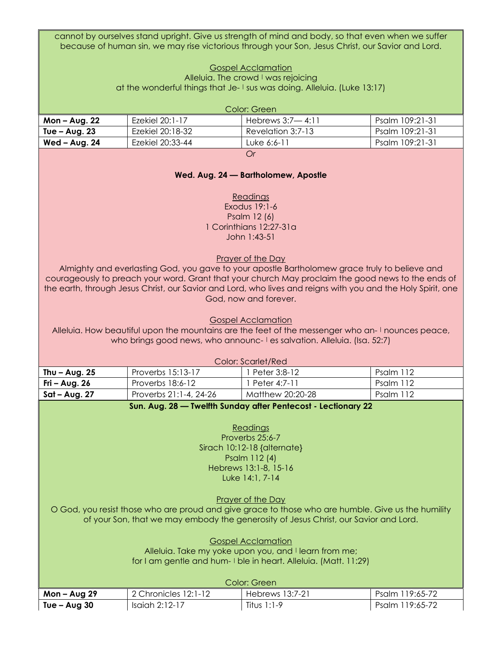cannot by ourselves stand upright. Give us strength of mind and body, so that even when we suffer because of human sin, we may rise victorious through your Son, Jesus Christ, our Savior and Lord.

> Gospel Acclamation Alleluia. The crowd I was rejoicing at the wonderful things that Je- I sus was doing. Alleluia. (Luke 13:17)

| Color: Green    |                  |                    |                 |
|-----------------|------------------|--------------------|-----------------|
| Mon – Aug. 22   | Ezekiel 20:1-17  | Hebrews $3:7-4:11$ | Psalm 109:21-31 |
| Tue $-$ Aug. 23 | Ezekiel 20:18-32 | Revelation 3:7-13  | Psalm 109:21-31 |
| Wed - Aug. 24   | Ezekiel 20:33-44 | Luke 6:6-11        | Psalm 109:21-31 |
| Or              |                  |                    |                 |

#### **Wed. Aug. 24 — Bartholomew, Apostle**

Readings Exodus 19:1-6 Psalm 12 (6) 1 Corinthians 12:27-31a John 1:43-51

#### Prayer of the Day

Almighty and everlasting God, you gave to your apostle Bartholomew grace truly to believe and courageously to preach your word. Grant that your church May proclaim the good news to the ends of the earth, through Jesus Christ, our Savior and Lord, who lives and reigns with you and the Holy Spirit, one God, now and forever.

Gospel Acclamation

Alleluia. How beautiful upon the mountains are the feet of the messenger who an- | nounces peace, who brings good news, who announc- I es salvation. Alleluia. (Isa. 52:7)

| Color: Scarlet/Red |                        |                  |           |  |
|--------------------|------------------------|------------------|-----------|--|
| Thu – Aug. $25$    | Proverbs 15:13-17      | Peter 3:8-12     | Psalm 112 |  |
| Fri – Aug. $26$    | Proverbs 18:6-12       | Peter 4:7-11     | Psalm 112 |  |
| Sat – Aug. 27      | Proverbs 21:1-4, 24-26 | Matthew 20:20-28 | Psalm 112 |  |

#### **Sun. Aug. 28 — Twelfth Sunday after Pentecost - Lectionary 22**

Readings Proverbs 25:6-7 Sirach 10:12-18 {alternate} Psalm 112 (4) Hebrews 13:1-8, 15-16 Luke 14:1, 7-14

Prayer of the Day

O God, you resist those who are proud and give grace to those who are humble. Give us the humility of your Son, that we may embody the generosity of Jesus Christ, our Savior and Lord.

> Gospel Acclamation Alleluia. Take my yoke upon you, and I learn from me; for I am gentle and hum- I ble in heart. Alleluia. (Matt. 11:29)

| Color: Green |                      |                 |                 |
|--------------|----------------------|-----------------|-----------------|
| Mon – Aug 29 | 2 Chronicles 12:1-12 | Hebrews 13:7-21 | Psalm 119:65-72 |
| Tue – Aug 30 | Isaiah 2:12-17       | Titus 1:1-9     | Psalm 119:65-72 |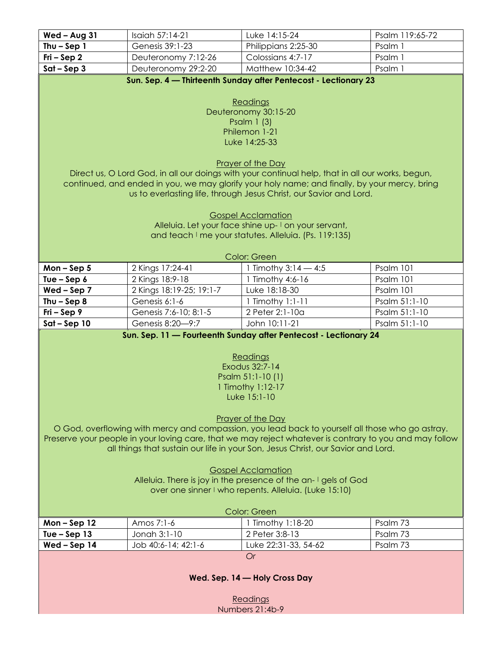| Wed - Aug 31                                                   | Isaiah 57:14-21          | Luke 14:15-24                                                                                                                                                                                               | Psalm 119:65-72 |
|----------------------------------------------------------------|--------------------------|-------------------------------------------------------------------------------------------------------------------------------------------------------------------------------------------------------------|-----------------|
| Thu $-$ Sep 1                                                  | Genesis 39:1-23          | Philippians 2:25-30                                                                                                                                                                                         | Psalm 1         |
| $Fri-Sep2$                                                     | Deuteronomy 7:12-26      | Colossians 4:7-17                                                                                                                                                                                           | Psalm 1         |
| $Sat - Sep3$                                                   | Deuteronomy 29:2-20      | Matthew 10:34-42                                                                                                                                                                                            | Psalm 1         |
|                                                                |                          | Sun. Sep. 4 - Thirteenth Sunday after Pentecost - Lectionary 23                                                                                                                                             |                 |
|                                                                |                          |                                                                                                                                                                                                             |                 |
|                                                                |                          | Readings                                                                                                                                                                                                    |                 |
|                                                                |                          | Deuteronomy 30:15-20                                                                                                                                                                                        |                 |
|                                                                |                          | Psalm $1(3)$                                                                                                                                                                                                |                 |
|                                                                |                          | Philemon 1-21<br>Luke 14:25-33                                                                                                                                                                              |                 |
|                                                                |                          |                                                                                                                                                                                                             |                 |
|                                                                |                          | Prayer of the Day                                                                                                                                                                                           |                 |
|                                                                |                          | Direct us, O Lord God, in all our doings with your continual help, that in all our works, begun,                                                                                                            |                 |
|                                                                |                          | continued, and ended in you, we may glorify your holy name; and finally, by your mercy, bring                                                                                                               |                 |
|                                                                |                          | us to everlasting life, through Jesus Christ, our Savior and Lord.                                                                                                                                          |                 |
|                                                                |                          |                                                                                                                                                                                                             |                 |
|                                                                |                          | <b>Gospel Acclamation</b>                                                                                                                                                                                   |                 |
|                                                                |                          | Alleluia. Let your face shine up-I on your servant,                                                                                                                                                         |                 |
|                                                                |                          | and teach I me your statutes. Alleluia. (Ps. 119:135)                                                                                                                                                       |                 |
|                                                                |                          | Color: Green                                                                                                                                                                                                |                 |
| Mon-Sep $5$                                                    | 2 Kings 17:24-41         | 1 Timothy $3:14 - 4:5$                                                                                                                                                                                      | Psalm 101       |
| Tue $-$ Sep $6$                                                | 2 Kings 18:9-18          | 1 Timothy 4:6-16                                                                                                                                                                                            | Psalm 101       |
| $Wed - Sep 7$                                                  | 2 Kings 18:19-25; 19:1-7 | Luke 18:18-30                                                                                                                                                                                               | Psalm 101       |
| Thu $-$ Sep 8                                                  | Genesis 6:1-6            | 1 Timothy 1:1-11                                                                                                                                                                                            | Psalm 51:1-10   |
| $Fri-Sep9$                                                     | Genesis 7:6-10; 8:1-5    | 2 Peter 2:1-10a                                                                                                                                                                                             | Psalm 51:1-10   |
| $Sat - Sep 10$                                                 | Genesis 8:20-9:7         | John 10:11-21                                                                                                                                                                                               | Psalm 51:1-10   |
|                                                                |                          | Sun. Sep. 11 - Fourteenth Sunday after Pentecost - Lectionary 24                                                                                                                                            |                 |
|                                                                |                          |                                                                                                                                                                                                             |                 |
|                                                                |                          | Readings                                                                                                                                                                                                    |                 |
|                                                                |                          | Exodus 32:7-14                                                                                                                                                                                              |                 |
|                                                                |                          | Psalm 51:1-10 (1)                                                                                                                                                                                           |                 |
|                                                                |                          | 1 Timothy 1:12-17                                                                                                                                                                                           |                 |
|                                                                |                          | Luke 15:1-10                                                                                                                                                                                                |                 |
|                                                                |                          |                                                                                                                                                                                                             |                 |
|                                                                |                          | Prayer of the Day                                                                                                                                                                                           |                 |
|                                                                |                          | O God, overflowing with mercy and compassion, you lead back to yourself all those who go astray.<br>Preserve your people in your loving care, that we may reject whatever is contrary to you and may follow |                 |
|                                                                |                          | all things that sustain our life in your Son, Jesus Christ, our Savior and Lord.                                                                                                                            |                 |
|                                                                |                          |                                                                                                                                                                                                             |                 |
| <b>Gospel Acclamation</b>                                      |                          |                                                                                                                                                                                                             |                 |
| Alleluia. There is joy in the presence of the an-I gels of God |                          |                                                                                                                                                                                                             |                 |
|                                                                |                          | over one sinner I who repents. Alleluia. (Luke 15:10)                                                                                                                                                       |                 |
|                                                                |                          |                                                                                                                                                                                                             |                 |
|                                                                |                          | Color: Green                                                                                                                                                                                                |                 |
| Mon-Sep $12$                                                   | Amos 7:1-6               | 1 Timothy 1:18-20                                                                                                                                                                                           | Psalm 73        |
| Tue $-$ Sep 13                                                 | Jonah 3:1-10             | 2 Peter 3:8-13                                                                                                                                                                                              | Psalm 73        |
| Wed-Sep 14                                                     | Job 40:6-14; 42:1-6      | Luke 22:31-33, 54-62                                                                                                                                                                                        | Psalm 73        |
|                                                                |                          | <b>Or</b>                                                                                                                                                                                                   |                 |
|                                                                |                          |                                                                                                                                                                                                             |                 |
| Wed. Sep. 14 - Holy Cross Day                                  |                          |                                                                                                                                                                                                             |                 |
| Readings                                                       |                          |                                                                                                                                                                                                             |                 |
|                                                                |                          | Numbers 21:4b-9                                                                                                                                                                                             |                 |
|                                                                |                          |                                                                                                                                                                                                             |                 |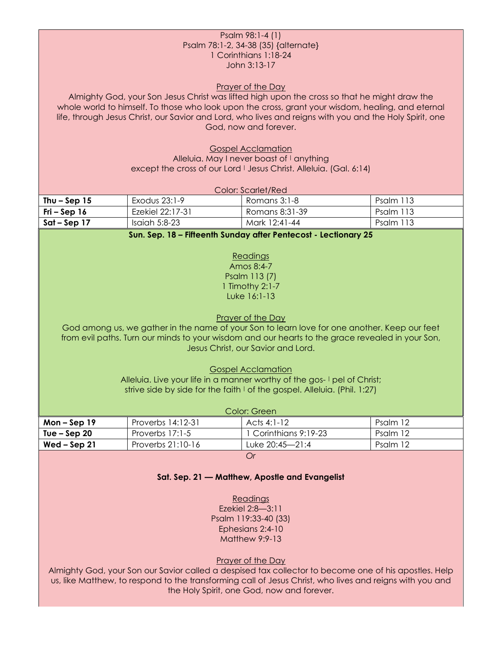#### Psalm 98:1-4 (1) Psalm 78:1-2, 34-38 (35) {alternate} 1 Corinthians 1:18-24 John 3:13-17

#### Prayer of the Day

Almighty God, your Son Jesus Christ was lifted high upon the cross so that he might draw the whole world to himself. To those who look upon the cross, grant your wisdom, healing, and eternal life, through Jesus Christ, our Savior and Lord, who lives and reigns with you and the Holy Spirit, one God, now and forever.

> Gospel Acclamation Alleluia. May I never boast of I anything except the cross of our Lord | Jesus Christ. Alleluia. (Gal. 6:14)

#### Color: Scarlet/Red

| Thu – Sep $15$         | Exodus 23:1-9    | Romans 3:1-8   | Psalm 113 |
|------------------------|------------------|----------------|-----------|
| Fri – Sep 16           | Ezekiel 22:17-31 | Romans 8:31-39 | Psalm 113 |
| $\sqrt{5}$ at – Sep 17 | Isaiah $5:8-23$  | Mark 12:41-44  | Psalm 113 |

#### **Sun. Sep. 18 – Fifteenth Sunday after Pentecost - Lectionary 25**

Readings Amos 8:4-7 Psalm 113 (7) 1 Timothy 2:1-7 Luke 16:1-13

#### Prayer of the Day

God among us, we gather in the name of your Son to learn love for one another. Keep our feet from evil paths. Turn our minds to your wisdom and our hearts to the grace revealed in your Son, Jesus Christ, our Savior and Lord.

Gospel Acclamation

Alleluia. Live your life in a manner worthy of the gos- I pel of Christ; strive side by side for the faith I of the gospel. Alleluia. (Phil. 1:27)

| Color: Green                                                             |                   |             |          |  |
|--------------------------------------------------------------------------|-------------------|-------------|----------|--|
| $Mon - Sep 19$                                                           | Proverbs 14:12-31 | Acts 4:1-12 | Psalm 12 |  |
| 1 Corinthians 9:19-23<br>Tue – Sep $20$<br>Proverbs $17:1-5$<br>Psalm 12 |                   |             |          |  |
| Luke 20:45-21:4<br>Proverbs 21:10-16<br>Wed $-$ Sep 21<br>Psalm 12       |                   |             |          |  |
|                                                                          |                   |             |          |  |

*Or*

#### **Sat. Sep. 21 — Matthew, Apostle and Evangelist**

Readings Ezekiel 2:8—3:11 Psalm 119:33-40 (33) Ephesians 2:4-10 Matthew 9:9-13

Prayer of the Day

Almighty God, your Son our Savior called a despised tax collector to become one of his apostles. Help us, like Matthew, to respond to the transforming call of Jesus Christ, who lives and reigns with you and the Holy Spirit, one God, now and forever.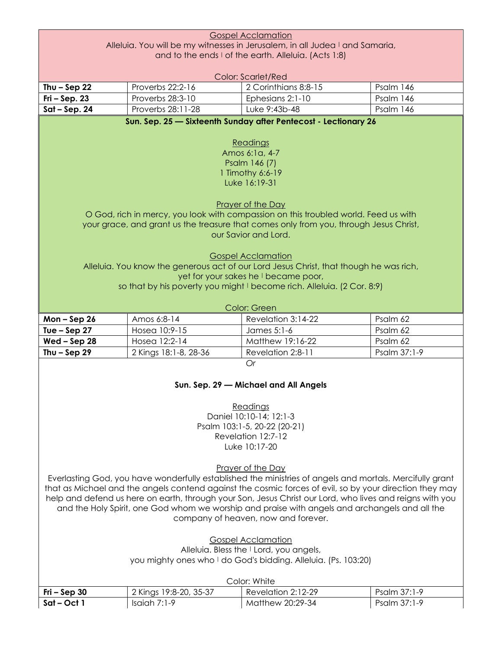|                                                                              |                        | <b>Gospel Acclamation</b>                                                                                     |              |  |
|------------------------------------------------------------------------------|------------------------|---------------------------------------------------------------------------------------------------------------|--------------|--|
| Alleluia. You will be my witnesses in Jerusalem, in all Judea I and Samaria, |                        |                                                                                                               |              |  |
| and to the ends I of the earth. Alleluia. (Acts 1:8)                         |                        |                                                                                                               |              |  |
|                                                                              |                        |                                                                                                               |              |  |
|                                                                              |                        | <b>Color: Scarlet/Red</b>                                                                                     |              |  |
| Thu $-$ Sep 22                                                               | Proverbs 22:2-16       | 2 Corinthians 8:8-15                                                                                          | Psalm 146    |  |
| $Fi-Sep. 23$                                                                 | Proverbs 28:3-10       | Ephesians 2:1-10                                                                                              | Psalm 146    |  |
| $Sat - Sep. 24$                                                              | Proverbs 28:11-28      | Luke 9:43b-48                                                                                                 | Psalm 146    |  |
|                                                                              |                        | Sun. Sep. 25 - Sixteenth Sunday after Pentecost - Lectionary 26                                               |              |  |
|                                                                              |                        |                                                                                                               |              |  |
|                                                                              |                        | Readings                                                                                                      |              |  |
|                                                                              |                        | Amos 6:1a, 4-7                                                                                                |              |  |
|                                                                              |                        | Psalm 146 (7)                                                                                                 |              |  |
|                                                                              |                        | 1 Timothy 6:6-19                                                                                              |              |  |
|                                                                              |                        | Luke 16:19-31                                                                                                 |              |  |
|                                                                              |                        |                                                                                                               |              |  |
|                                                                              |                        | Prayer of the Day                                                                                             |              |  |
|                                                                              |                        | O God, rich in mercy, you look with compassion on this troubled world. Feed us with                           |              |  |
|                                                                              |                        | your grace, and grant us the treasure that comes only from you, through Jesus Christ,<br>our Savior and Lord. |              |  |
|                                                                              |                        |                                                                                                               |              |  |
|                                                                              |                        | <b>Gospel Acclamation</b>                                                                                     |              |  |
|                                                                              |                        | Alleluia. You know the generous act of our Lord Jesus Christ, that though he was rich,                        |              |  |
|                                                                              |                        | yet for your sakes he I became poor,                                                                          |              |  |
|                                                                              |                        | so that by his poverty you might I become rich. Alleluia. (2 Cor. 8:9)                                        |              |  |
|                                                                              |                        |                                                                                                               |              |  |
|                                                                              |                        | Color: Green                                                                                                  |              |  |
|                                                                              |                        |                                                                                                               |              |  |
|                                                                              |                        |                                                                                                               |              |  |
| $Mon - Sep 26$                                                               | Amos 6:8-14            | Revelation 3:14-22                                                                                            | Psalm 62     |  |
|                                                                              | Hosea 10:9-15          | James 5:1-6                                                                                                   | Psalm 62     |  |
| $Wed - Sep 28$                                                               | Hosea 12:2-14          | Matthew 19:16-22                                                                                              | Psalm 62     |  |
|                                                                              | 2 Kings 18:1-8, 28-36  | Revelation 2:8-11                                                                                             | Psalm 37:1-9 |  |
|                                                                              |                        | Or                                                                                                            |              |  |
|                                                                              |                        |                                                                                                               |              |  |
| Tue $-$ Sep 27<br>Thu $-$ Sep 29                                             |                        | Sun. Sep. 29 - Michael and All Angels                                                                         |              |  |
|                                                                              |                        |                                                                                                               |              |  |
|                                                                              |                        | Readings<br>Daniel 10:10-14; 12:1-3                                                                           |              |  |
|                                                                              |                        |                                                                                                               |              |  |
|                                                                              |                        | Psalm 103:1-5, 20-22 (20-21)<br>Revelation 12:7-12                                                            |              |  |
|                                                                              |                        | Luke 10:17-20                                                                                                 |              |  |
|                                                                              |                        |                                                                                                               |              |  |
|                                                                              |                        | Prayer of the Day                                                                                             |              |  |
|                                                                              |                        | Everlasting God, you have wonderfully established the ministries of angels and mortals. Mercifully grant      |              |  |
|                                                                              |                        | that as Michael and the angels contend against the cosmic forces of evil, so by your direction they may       |              |  |
|                                                                              |                        | help and defend us here on earth, through your Son, Jesus Christ our Lord, who lives and reigns with you      |              |  |
|                                                                              |                        | and the Holy Spirit, one God whom we worship and praise with angels and archangels and all the                |              |  |
|                                                                              |                        | company of heaven, now and forever.                                                                           |              |  |
|                                                                              |                        |                                                                                                               |              |  |
|                                                                              |                        | <b>Gospel Acclamation</b>                                                                                     |              |  |
|                                                                              |                        | Alleluia. Bless the I Lord, you angels,                                                                       |              |  |
|                                                                              |                        | you mighty ones who I do God's bidding. Alleluia. (Ps. 103:20)                                                |              |  |
|                                                                              |                        |                                                                                                               |              |  |
| $Fi-Sep30$                                                                   | 2 Kings 19:8-20, 35-37 | Color: White<br>Revelation 2:12-29                                                                            | Psalm 37:1-9 |  |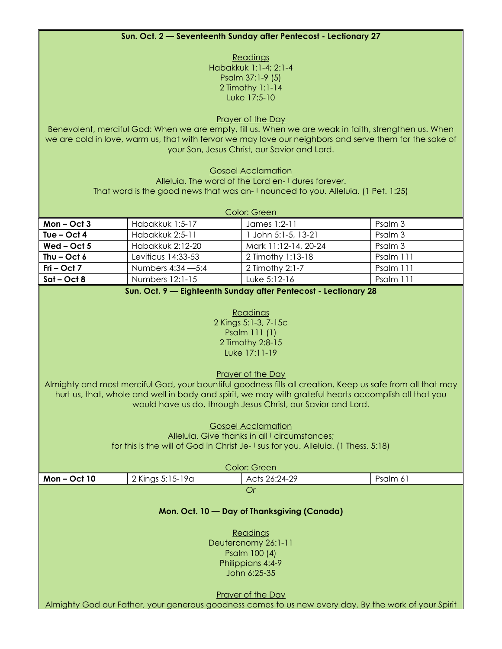#### **Sun. Oct. 2 — Seventeenth Sunday after Pentecost - Lectionary 27**

**Readings** Habakkuk 1:1-4; 2:1-4 Psalm 37:1-9 (5) 2 Timothy 1:1-14 Luke 17:5-10

Prayer of the Day

Benevolent, merciful God: When we are empty, fill us. When we are weak in faith, strengthen us. When we are cold in love, warm us, that with fervor we may love our neighbors and serve them for the sake of your Son, Jesus Christ, our Savior and Lord.

Gospel Acclamation

Alleluia. The word of the Lord en- I dures forever. That word is the good news that was an- | nounced to you. Alleluia. (1 Pet. 1:25)

| Color: Green  |                    |                      |           |
|---------------|--------------------|----------------------|-----------|
| $Mon - Oct 3$ | Habakkuk 1:5-17    | James 1:2-11         | Psalm 3   |
| Tue $-$ Oct 4 | Habakkuk 2:5-11    | John 5:1-5, 13-21    | Psalm 3   |
| Wed $-$ Oct 5 | Habakkuk 2:12-20   | Mark 11:12-14, 20-24 | Psalm 3   |
| Thu $-$ Oct 6 | Leviticus 14:33-53 | 2 Timothy 1:13-18    | Psalm 111 |
| $Fri - Oct 7$ | Numbers 4:34 - 5:4 | 2 Timothy 2:1-7      | Psalm 111 |
| Sat-Oct 8     | Numbers 12:1-15    | Luke 5:12-16         | Psalm 111 |

#### **Sun. Oct. 9 — Eighteenth Sunday after Pentecost - Lectionary 28**

| Readings             |
|----------------------|
| 2 Kings 5:1-3, 7-15c |
| Psalm 111 (1)        |
| 2 Timothy 2:8-15     |
| Luke 17:11-19        |

Prayer of the Day

Almighty and most merciful God, your bountiful goodness fills all creation. Keep us safe from all that may hurt us, that, whole and well in body and spirit, we may with grateful hearts accomplish all that you would have us do, through Jesus Christ, our Savior and Lord.

> Gospel Acclamation Alleluig. Give thanks in all I circumstances: for this is the will of God in Christ Je- I sus for you. Alleluia. (1 Thess. 5:18)

| Color: Green |                     |                                             |                                                                                                       |  |  |
|--------------|---------------------|---------------------------------------------|-------------------------------------------------------------------------------------------------------|--|--|
| Mon-Oct 10   | 2 Kings 5:15-19a    | Acts 26:24-29                               | Psalm 61                                                                                              |  |  |
|              |                     | Or                                          |                                                                                                       |  |  |
|              |                     |                                             |                                                                                                       |  |  |
|              |                     | Mon. Oct. 10 - Day of Thanksgiving (Canada) |                                                                                                       |  |  |
|              |                     |                                             |                                                                                                       |  |  |
|              |                     | Readings                                    |                                                                                                       |  |  |
|              | Deuteronomy 26:1-11 |                                             |                                                                                                       |  |  |
|              | Psalm 100 (4)       |                                             |                                                                                                       |  |  |
|              | Philippians 4:4-9   |                                             |                                                                                                       |  |  |
|              |                     | John 6:25-35                                |                                                                                                       |  |  |
|              |                     |                                             |                                                                                                       |  |  |
|              | Prayer of the Day   |                                             |                                                                                                       |  |  |
|              |                     |                                             | Almighty God our Father, your generous goodness comes to us new every day. By the work of your Spirit |  |  |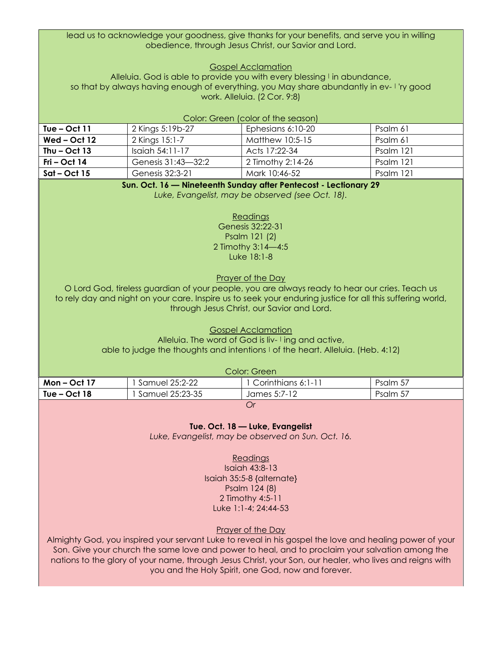lead us to acknowledge your goodness, give thanks for your benefits, and serve you in willing obedience, through Jesus Christ, our Savior and Lord.

Gospel Acclamation

Alleluia. God is able to provide you with every blessing I in abundance, so that by always having enough of everything, you May share abundantly in ev- | 'ry good work. Alleluia. (2 Cor. 9:8)

| Color: Green (color of the season) |                    |                   |           |  |
|------------------------------------|--------------------|-------------------|-----------|--|
| Tue – Oct $11$                     | 2 Kings 5:19b-27   | Ephesians 6:10-20 | Psalm 61  |  |
| Wed – Oct $12$                     | 2 Kings 15:1-7     | Matthew 10:5-15   | Psalm 61  |  |
| Thu $-$ Oct 13                     | Isaiah 54:11-17    | Acts 17:22-34     | Psalm 121 |  |
| Fri – Oct 14                       | Genesis 31:43-32:2 | 2 Timothy 2:14-26 | Psalm 121 |  |
| $Sat-Oct15$                        | Genesis 32:3-21    | Mark 10:46-52     | Psalm 121 |  |

#### **Sun. Oct. 16 — Nineteenth Sunday after Pentecost - Lectionary 29**

*Luke, Evangelist, may be observed (see Oct. 18).*

#### **Readings**

Genesis 32:22-31 Psalm 121 (2) 2 Timothy 3:14—4:5 Luke 18:1-8

Prayer of the Day

O Lord God, tireless guardian of your people, you are always ready to hear our cries. Teach us to rely day and night on your care. Inspire us to seek your enduring justice for all this suffering world, through Jesus Christ, our Savior and Lord.

> Gospel Acclamation Alleluia. The word of God is liv- I ing and active, able to judge the thoughts and intentions | of the heart. Alleluia. (Heb. 4:12)

| Color: Green                                                       |                              |              |          |  |
|--------------------------------------------------------------------|------------------------------|--------------|----------|--|
| Corinthians 6:1-11<br>Samuel 25:2-22<br>Psalm 57<br>$Mon - Oct 17$ |                              |              |          |  |
| Tue – Oct $18$                                                     | <sup>1</sup> Samuel 25:23-35 | James 5:7-12 | Psalm 57 |  |
| Or                                                                 |                              |              |          |  |

**Tue. Oct. 18 — Luke, Evangelist**

*Luke, Evangelist, may be observed on Sun. Oct. 16.*

Readings Isaiah 43:8-13 Isaiah 35:5-8 {alternate} Psalm 124 (8) 2 Timothy 4:5-11

Luke 1:1-4; 24:44-53

Prayer of the Day

Almighty God, you inspired your servant Luke to reveal in his gospel the love and healing power of your Son. Give your church the same love and power to heal, and to proclaim your salvation among the nations to the glory of your name, through Jesus Christ, your Son, our healer, who lives and reigns with you and the Holy Spirit, one God, now and forever.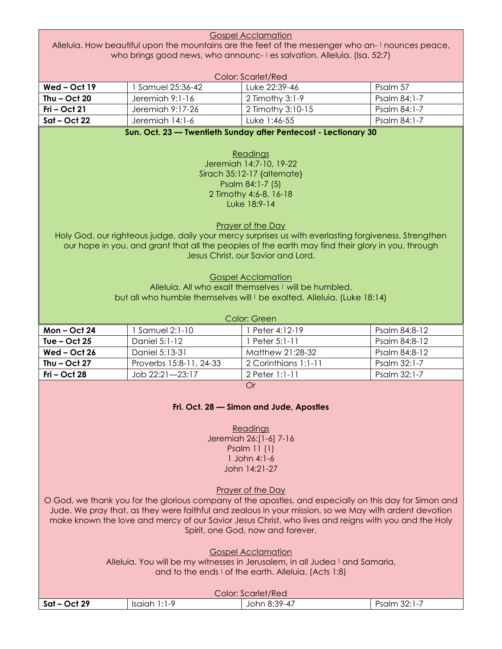|                                                                                                  |                         | <b>Gospel Acclamation</b>                                                                              |               |  |  |  |  |
|--------------------------------------------------------------------------------------------------|-------------------------|--------------------------------------------------------------------------------------------------------|---------------|--|--|--|--|
| Alleluia. How beautiful upon the mountains are the feet of the messenger who an-I nounces peace, |                         |                                                                                                        |               |  |  |  |  |
|                                                                                                  |                         | who brings good news, who announc- I es salvation. Alleluia. (Isa. 52:7)                               |               |  |  |  |  |
|                                                                                                  |                         |                                                                                                        |               |  |  |  |  |
|                                                                                                  |                         | <b>Color: Scarlet/Red</b>                                                                              |               |  |  |  |  |
| Wed-Oct 19                                                                                       | 1 Samuel 25:36-42       | Luke 22:39-46                                                                                          | Psalm 57      |  |  |  |  |
| Thu $-$ Oct 20                                                                                   | Jeremiah 9:1-16         | 2 Timothy 3:1-9                                                                                        | Psalm 84:1-7  |  |  |  |  |
| $Fri - Oct 21$                                                                                   | Jeremiah 9:17-26        | 2 Timothy 3:10-15                                                                                      | Psalm 84:1-7  |  |  |  |  |
| $Sat-Oct$ 22                                                                                     | Jeremiah 14:1-6         | Luke 1:46-55                                                                                           | Psalm 84:1-7  |  |  |  |  |
|                                                                                                  |                         | Sun. Oct. 23 - Twentieth Sunday after Pentecost - Lectionary 30                                        |               |  |  |  |  |
|                                                                                                  |                         |                                                                                                        |               |  |  |  |  |
|                                                                                                  |                         | Readings                                                                                               |               |  |  |  |  |
|                                                                                                  |                         | Jeremiah 14:7-10, 19-22                                                                                |               |  |  |  |  |
|                                                                                                  |                         | Sirach 35:12-17 {alternate}                                                                            |               |  |  |  |  |
|                                                                                                  |                         | Psalm 84:1-7 (5)                                                                                       |               |  |  |  |  |
|                                                                                                  |                         | 2 Timothy 4:6-8, 16-18                                                                                 |               |  |  |  |  |
|                                                                                                  |                         | Luke 18:9-14                                                                                           |               |  |  |  |  |
|                                                                                                  |                         |                                                                                                        |               |  |  |  |  |
|                                                                                                  |                         | <b>Prayer of the Day</b>                                                                               |               |  |  |  |  |
|                                                                                                  |                         | Holy God, our righteous judge, daily your mercy surprises us with everlasting forgiveness. Strengthen  |               |  |  |  |  |
|                                                                                                  |                         | our hope in you, and grant that all the peoples of the earth may find their glory in you, through      |               |  |  |  |  |
|                                                                                                  |                         | Jesus Christ, our Savior and Lord.                                                                     |               |  |  |  |  |
|                                                                                                  |                         |                                                                                                        |               |  |  |  |  |
|                                                                                                  |                         | <b>Gospel Acclamation</b>                                                                              |               |  |  |  |  |
|                                                                                                  |                         | Alleluig. All who exalt themselves I will be humbled,                                                  |               |  |  |  |  |
|                                                                                                  |                         | but all who humble themselves will I be exalted. Alleluia. (Luke 18:14)                                |               |  |  |  |  |
|                                                                                                  |                         |                                                                                                        |               |  |  |  |  |
|                                                                                                  |                         | Color: Green                                                                                           |               |  |  |  |  |
| $Mon - Oct 24$                                                                                   | 1 Samuel 2:1-10         | 1 Peter 4:12-19                                                                                        | Psalm 84:8-12 |  |  |  |  |
| Tue $-$ Oct 25                                                                                   | Daniel 5:1-12           | 1 Peter 5:1-11                                                                                         | Psalm 84:8-12 |  |  |  |  |
| $Wed - Oct 26$                                                                                   | Daniel 5:13-31          | Matthew 21:28-32                                                                                       | Psalm 84:8-12 |  |  |  |  |
| Thu $-$ Oct 27                                                                                   | Proverbs 15:8-11, 24-33 | 2 Corinthians 1:1-11                                                                                   | Psalm 32:1-7  |  |  |  |  |
| $Fri - Oct 28$                                                                                   | Job 22:21-23:17         | 2 Peter 1:1-11                                                                                         | Psalm 32:1-7  |  |  |  |  |
|                                                                                                  |                         | <b>Or</b>                                                                                              |               |  |  |  |  |
|                                                                                                  |                         |                                                                                                        |               |  |  |  |  |
|                                                                                                  |                         | Fri. Oct. 28 - Simon and Jude, Apostles                                                                |               |  |  |  |  |
|                                                                                                  |                         |                                                                                                        |               |  |  |  |  |
|                                                                                                  |                         | Readings                                                                                               |               |  |  |  |  |
|                                                                                                  |                         | Jeremiah 26:[1-6] 7-16                                                                                 |               |  |  |  |  |
|                                                                                                  |                         | Psalm 11 (1)                                                                                           |               |  |  |  |  |
|                                                                                                  |                         | 1 John 4:1-6                                                                                           |               |  |  |  |  |
| John 14:21-27                                                                                    |                         |                                                                                                        |               |  |  |  |  |
|                                                                                                  |                         |                                                                                                        |               |  |  |  |  |
|                                                                                                  |                         |                                                                                                        |               |  |  |  |  |
|                                                                                                  |                         | Prayer of the Day                                                                                      |               |  |  |  |  |
|                                                                                                  |                         | O God, we thank you for the glorious company of the apostles, and especially on this day for Simon and |               |  |  |  |  |
|                                                                                                  |                         | Jude. We pray that, as they were faithful and zealous in your mission, so we May with ardent devotion  |               |  |  |  |  |
|                                                                                                  |                         | make known the love and mercy of our Savior Jesus Christ, who lives and reigns with you and the Holy   |               |  |  |  |  |
|                                                                                                  |                         | Spirit, one God, now and forever.                                                                      |               |  |  |  |  |
|                                                                                                  |                         |                                                                                                        |               |  |  |  |  |
|                                                                                                  |                         | <b>Gospel Acclamation</b>                                                                              |               |  |  |  |  |
|                                                                                                  |                         | Alleluia. You will be my witnesses in Jerusalem, in all Judea I and Samaria,                           |               |  |  |  |  |
|                                                                                                  |                         | and to the ends I of the earth. Alleluia. (Acts 1:8)                                                   |               |  |  |  |  |
|                                                                                                  |                         |                                                                                                        |               |  |  |  |  |
| $Sat-Oct$ 29                                                                                     | Isaiah 1:1-9            | Color: Scarlet/Red<br>John 8:39-47                                                                     | Psalm 32:1-7  |  |  |  |  |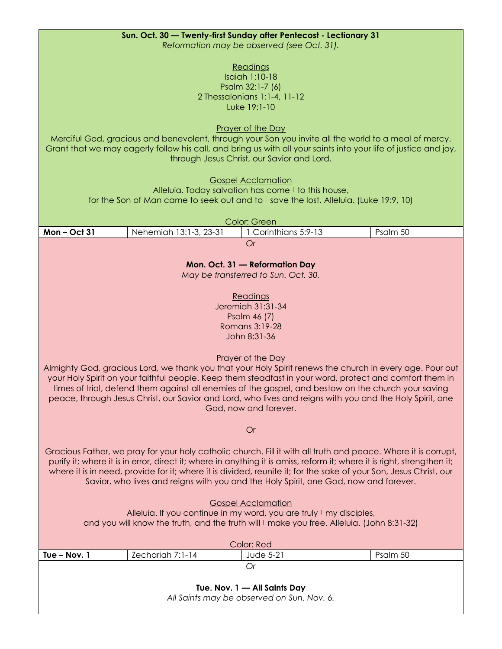| Sun. Oct. 30 - Twenty-first Sunday after Pentecost - Lectionary 31                                                                                                                                              |                                  |  |  |  |
|-----------------------------------------------------------------------------------------------------------------------------------------------------------------------------------------------------------------|----------------------------------|--|--|--|
| Reformation may be observed (see Oct. 31).                                                                                                                                                                      |                                  |  |  |  |
| Readings                                                                                                                                                                                                        |                                  |  |  |  |
| <b>Isaiah 1:10-18</b><br>Psalm 32:1-7 (6)                                                                                                                                                                       |                                  |  |  |  |
| 2 Thessalonians 1:1-4, 11-12                                                                                                                                                                                    |                                  |  |  |  |
| Luke 19:1-10                                                                                                                                                                                                    |                                  |  |  |  |
|                                                                                                                                                                                                                 |                                  |  |  |  |
| Prayer of the Day<br>Merciful God, gracious and benevolent, through your Son you invite all the world to a meal of mercy.                                                                                       |                                  |  |  |  |
| Grant that we may eagerly follow his call, and bring us with all your saints into your life of justice and joy,                                                                                                 |                                  |  |  |  |
| through Jesus Christ, our Savior and Lord.                                                                                                                                                                      |                                  |  |  |  |
|                                                                                                                                                                                                                 |                                  |  |  |  |
| <b>Gospel Acclamation</b><br>Alleluia. Today salvation has come I to this house,                                                                                                                                |                                  |  |  |  |
| for the Son of Man came to seek out and to I save the lost. Alleluia. (Luke 19:9, 10)                                                                                                                           |                                  |  |  |  |
|                                                                                                                                                                                                                 |                                  |  |  |  |
| Color: Green<br>Nehemiah 13:1-3, 23-31<br>$Mon - Oct 31$                                                                                                                                                        | 1 Corinthians 5:9-13<br>Psalm 50 |  |  |  |
| <b>Or</b>                                                                                                                                                                                                       |                                  |  |  |  |
|                                                                                                                                                                                                                 |                                  |  |  |  |
| Mon. Oct. 31 - Reformation Day                                                                                                                                                                                  |                                  |  |  |  |
| May be transferred to Sun. Oct. 30.                                                                                                                                                                             |                                  |  |  |  |
| Readings                                                                                                                                                                                                        |                                  |  |  |  |
| Jeremiah 31:31-34                                                                                                                                                                                               |                                  |  |  |  |
| Psalm 46 (7)                                                                                                                                                                                                    |                                  |  |  |  |
| Romans 3:19-28                                                                                                                                                                                                  |                                  |  |  |  |
| John 8:31-36                                                                                                                                                                                                    |                                  |  |  |  |
| <b>Prayer of the Day</b>                                                                                                                                                                                        |                                  |  |  |  |
| Almighty God, gracious Lord, we thank you that your Holy Spirit renews the church in every age. Pour out                                                                                                        |                                  |  |  |  |
| your Holy Spirit on your faithful people. Keep them steadfast in your word, protect and comfort them in                                                                                                         |                                  |  |  |  |
| times of trial, defend them against all enemies of the gospel, and bestow on the church your saving<br>peace, through Jesus Christ, our Savior and Lord, who lives and reigns with you and the Holy Spirit, one |                                  |  |  |  |
| God, now and forever.                                                                                                                                                                                           |                                  |  |  |  |
|                                                                                                                                                                                                                 |                                  |  |  |  |
| <b>Or</b>                                                                                                                                                                                                       |                                  |  |  |  |
| Gracious Father, we pray for your holy catholic church. Fill it with all truth and peace. Where it is corrupt,                                                                                                  |                                  |  |  |  |
| purify it; where it is in error, direct it; where in anything it is amiss, reform it; where it is right, strengthen it;                                                                                         |                                  |  |  |  |
| where it is in need, provide for it; where it is divided, reunite it; for the sake of your Son, Jesus Christ, our                                                                                               |                                  |  |  |  |
| Savior, who lives and reigns with you and the Holy Spirit, one God, now and forever.                                                                                                                            |                                  |  |  |  |
| <b>Gospel Acclamation</b>                                                                                                                                                                                       |                                  |  |  |  |
| Alleluia. If you continue in my word, you are truly I my disciples,                                                                                                                                             |                                  |  |  |  |
| and you will know the truth, and the truth will I make you free. Alleluia. (John 8:31-32)                                                                                                                       |                                  |  |  |  |
|                                                                                                                                                                                                                 |                                  |  |  |  |
| Color: Red<br>Zechariah 7:1-14<br>Tue - Nov. 1<br>Jude 5-21<br>Psalm 50                                                                                                                                         |                                  |  |  |  |
| Or                                                                                                                                                                                                              |                                  |  |  |  |
|                                                                                                                                                                                                                 |                                  |  |  |  |
| Tue. Nov. 1 - All Saints Day<br>All Saints may be observed on Sun. Nov. 6.                                                                                                                                      |                                  |  |  |  |
|                                                                                                                                                                                                                 |                                  |  |  |  |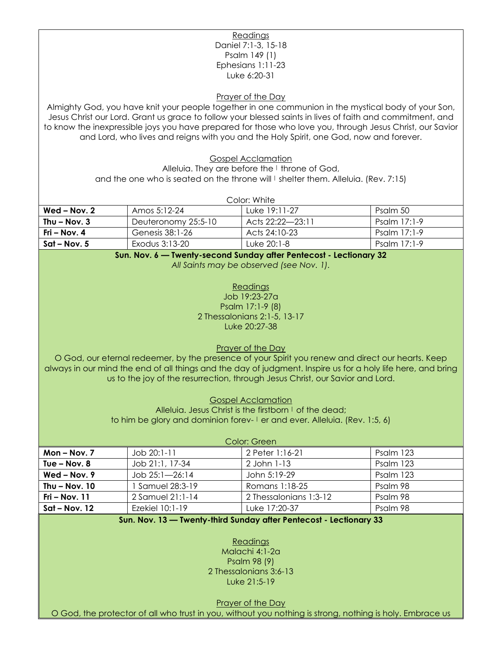#### **Readings** Daniel 7:1-3, 15-18 Psalm 149 (1) Ephesians 1:11-23 Luke 6:20-31

Prayer of the Day

Almighty God, you have knit your people together in one communion in the mystical body of your Son, Jesus Christ our Lord. Grant us grace to follow your blessed saints in lives of faith and commitment, and to know the inexpressible joys you have prepared for those who love you, through Jesus Christ, our Savior and Lord, who lives and reigns with you and the Holy Spirit, one God, now and forever.

Gospel Acclamation

Alleluig. They are before the I throne of God,

and the one who is seated on the throne will  $\ell$  shelter them. Alleluia. (Rev. 7:15)

| Color: White   |                     |                  |                |
|----------------|---------------------|------------------|----------------|
| Wed – Nov. 2   | Amos 5:12-24        | Tuke 19:11-27    | Psalm 50       |
| Thu – Nov. 3   | Deuteronomy 25:5-10 | Acts 22:22—23:11 | Psalm $17:1-9$ |
| Fri – Nov. 4   | Genesis 38:1-26     | Acts 24:10-23    | Psalm 17:1-9   |
| $Sat - Nov. 5$ | Exodus 3:13-20      | Luke 20:1-8      | Psalm 17:1-9   |

#### **Sun. Nov. 6 — Twenty-second Sunday after Pentecost - Lectionary 32** *All Saints may be observed (see Nov. 1).*

Readings Job 19:23-27a Psalm 17:1-9 (8) 2 Thessalonians 2:1-5, 13-17 Luke 20:27-38

Prayer of the Day

O God, our eternal redeemer, by the presence of your Spirit you renew and direct our hearts. Keep always in our mind the end of all things and the day of judgment. Inspire us for a holy life here, and bring us to the joy of the resurrection, through Jesus Christ, our Savior and Lord.

> Gospel Acclamation Alleluia. Jesus Christ is the firstborn I of the dead; to him be glory and dominion forev- I er and ever. Alleluia. (Rev. 1:5, 6)

| Color: Green     |                    |                        |           |  |  |
|------------------|--------------------|------------------------|-----------|--|--|
| $Mon - Nov. 7$   | $Job$ 20:1-11      | 2 Peter 1:16-21        | Psalm 123 |  |  |
| Tue $-$ Nov. $8$ | Job 21:1, 17-34    | 2 John 1-13            | Psalm 123 |  |  |
| $Wed - Nov. 9$   | $Job 25:1 - 26:14$ | John 5:19-29           | Psalm 123 |  |  |
| Thu $-$ Nov. 10  | l Samuel 28:3-19   | Romans 1:18-25         | Psalm 98  |  |  |
| Fri – Nov. $11$  | 2 Samuel 21:1-14   | 2 Thessalonians 1:3-12 | Psalm 98  |  |  |
| $Sat - Nov. 12$  | Ezekiel 10:1-19    | Luke 17:20-37          | Psalm 98  |  |  |

#### **Sun. Nov. 13 — Twenty-third Sunday after Pentecost - Lectionary 33**

#### Readings

Malachi 4:1-2a Psalm 98 (9) 2 Thessalonians 3:6-13 Luke 21:5-19

Prayer of the Day

O God, the protector of all who trust in you, without you nothing is strong, nothing is holy. Embrace us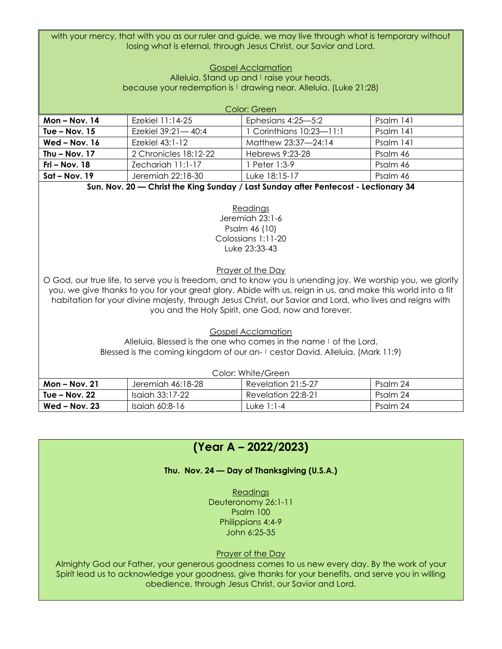with your mercy, that with you as our ruler and guide, we may live through what is temporary without losing what is eternal, through Jesus Christ, our Savior and Lord.

#### Gospel Acclamation Alleluia. Stand up and I raise your heads, because your redemption is | drawing near. Alleluia. (Luke 21:28)

| Color: Green    |                       |                          |           |  |  |
|-----------------|-----------------------|--------------------------|-----------|--|--|
| Mon-Nov. 14     | Ezekiel 11:14-25      | Ephesians 4:25-5:2       | Psalm 141 |  |  |
| Tue $-$ Nov. 15 | Ezekiel 39:21-40:4    | 1 Corinthians 10:23-11:1 | Psalm 141 |  |  |
| $Wed - Nov. 16$ | Ezekiel 43:1-12       | Matthew 23:37-24:14      | Psalm 141 |  |  |
| Thu $-$ Nov. 17 | 2 Chronicles 18:12-22 | Hebrews 9:23-28          | Psalm 46  |  |  |
| $Fri - Nov. 18$ | Zechariah 11:1-17     | l Peter 1:3-9            | Psalm 46  |  |  |
| $Sat - Nov. 19$ | Jeremiah 22:18-30     | Luke 18:15-17            | Psalm 46  |  |  |

**Sun. Nov. 20 — Christ the King Sunday / Last Sunday after Pentecost - Lectionary 34**

Readings Jeremiah 23:1-6 Psalm 46 (10) Colossians 1:11-20 Luke 23:33-43

Prayer of the Day

O God, our true life, to serve you is freedom, and to know you is unending joy. We worship you, we glorify you, we give thanks to you for your great glory. Abide with us, reign in us, and make this world into a fit habitation for your divine majesty, through Jesus Christ, our Savior and Lord, who lives and reigns with you and the Holy Spirit, one God, now and forever.

Gospel Acclamation

Alleluia. Blessed is the one who comes in the name I of the Lord. Blessed is the coming kingdom of our an- I cestor David. Alleluia. (Mark 11:9)

| Color: White/Green |                   |                    |          |  |  |
|--------------------|-------------------|--------------------|----------|--|--|
| $Mon - Nov. 21$    | Jeremiah 46:18-28 | Revelation 21:5-27 | Psalm 24 |  |  |
| Tue – Nov. 22      | Isaiah 33:17-22   | Revelation 22:8-21 | Psalm 24 |  |  |
| $Wed - Nov. 23$    | Isaiah 60:8-16    | Luke 1:1-4         | Psalm 24 |  |  |

### **(Year A – 2022/2023)**

**Thu. Nov. 24 — Day of Thanksgiving (U.S.A.)**

Readings Deuteronomy 26:1-11 Psalm 100 Philippians 4:4-9 John 6:25-35

#### Prayer of the Day

Almighty God our Father, your generous goodness comes to us new every day. By the work of your Spirit lead us to acknowledge your goodness, give thanks for your benefits, and serve you in willing obedience, through Jesus Christ, our Savior and Lord.